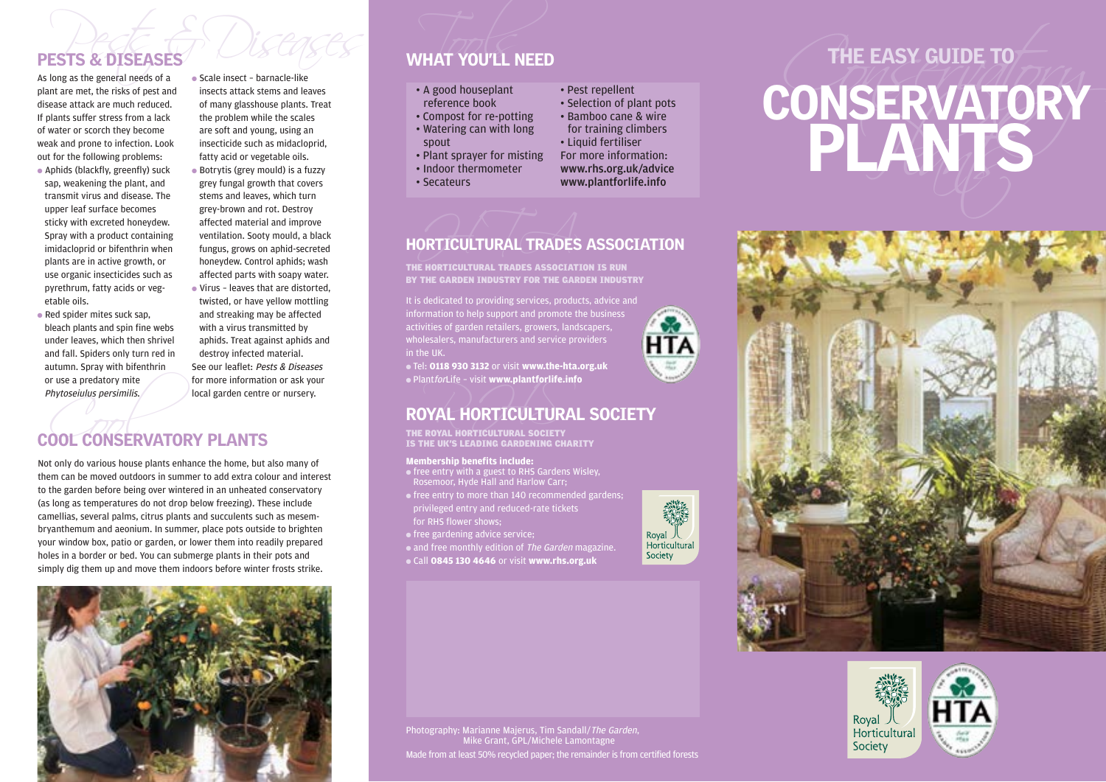# PESTS & DISEASES<br>As long as the general needs of a scale insect - barnacle-like<br>As long as the general needs of a scale insect - barnacle-like

plant are met, the risks of pest and disease attack are much reduced. If plants suffer stress from a lack of water or scorch they become weak and prone to infection. Look out for the following problems:

- Aphids (blackfly, greenfly) suck sap, weakening the plant, and transmit virus and disease. The upper leaf surface becomes sticky with excreted honeydew. Spray with a product containing imidacloprid or bifenthrin when plants are in active growth, or use organic insecticides such as pyrethrum, fatty acids or vegetable oils.
- Red spider mites suck sap, bleach plants and spin fine webs under leaves, which then shrivel and fall. Spiders only turn red in autumn. Spray with bifenthrin or use a predatory mite Phytoseiulus persimilis.

● Scale insect – barnacle-like insects attack stems and leaves of many glasshouse plants. Treat the problem while the scales are soft and young, using an insecticide such as midacloprid, fatty acid or vegetable oils.

● Botrytis (grey mould) is a fuzzy grey fungal growth that covers stems and leaves, which turn grey-brown and rot. Destroy affected material and improve ventilation. Sooty mould, a black fungus, grows on aphid-secreted honeydew. Control aphids; wash affected parts with soapy water. ● Virus – leaves that are distorted, twisted, or have yellow mottling and streaking may be affected with a virus transmitted by aphids. Treat against aphids and destroy infected material. See our leaflet: Pests & Diseases for more information or ask your local garden centre or nursery.

# or use a predatory mite<br>
Phytoseiulus persimilis.<br>
COOL CONSERVATORY PLANTS

Not only do various house plants enhance the home, but also many of them can be moved outdoors in summer to add extra colour and interest to the garden before being over wintered in an unheated conservatory (as long as temperatures do not drop below freezing). These include camellias, several palms, citrus plants and succulents such as mesembryanthemum and aeonium. In summer, place pots outside to brighten your window box, patio or garden, or lower them into readily prepared holes in a border or bed. You can submerge plants in their pots and simply dig them up and move them indoors before winter frosts strike.



# PESTS & DISEASES WHAT YOU'LL NEED

- 
- 
- 
- 
- 
- 
- 

## ORTICULTURAL TRADES HORTICULTURAL TRADES ASSOCIATION

THE HORTICULTURAL TRADES ASSOCIATION IS RUN BY THE GARDEN INDUSTRY FOR THE GARDEN INDUSTRY

It is dedicated to providing services, products, advice and information to help support and promote the business activities of garden retailers, growers, landscapers, wholesalers, manufacturers and service providers in the UK.

● Tel: **0118 930 3132** or visit **www.the-hta.org.uk** ● PlantforLife – visit **www.plantforlife.info**

## MINALINE - VISIT WWW.PRAINTON MICHAEL<br>POVAL HORTICULTURA ROYAL HORTICULTURAL SOCIETY

THE ROYAL HORTICULTURAL SOCIETY<br>IS THE UK'S LEADING GARDENING CHARITY

### **Membership benefits include:**

- free entry with a guest to RHS Gardens Wisley, Rosemoor, Hyde Hall and Harlow Carr;
- privileged entry and reduced-rate tickets
- 

● free gardening advice service;

• and free monthly edition of The Garden magazine. ● Call **0845 130 4646** or visit **www.rhs.org.uk**

Royal 人<br>Horticultural Society







Photography: Marianne Majerus, Tim Sandall/The Garden, Mike Grant, GPL/Michele Lamontagne Made from at least 50% recycled paper; the remainder is from certified forests

**HTA**